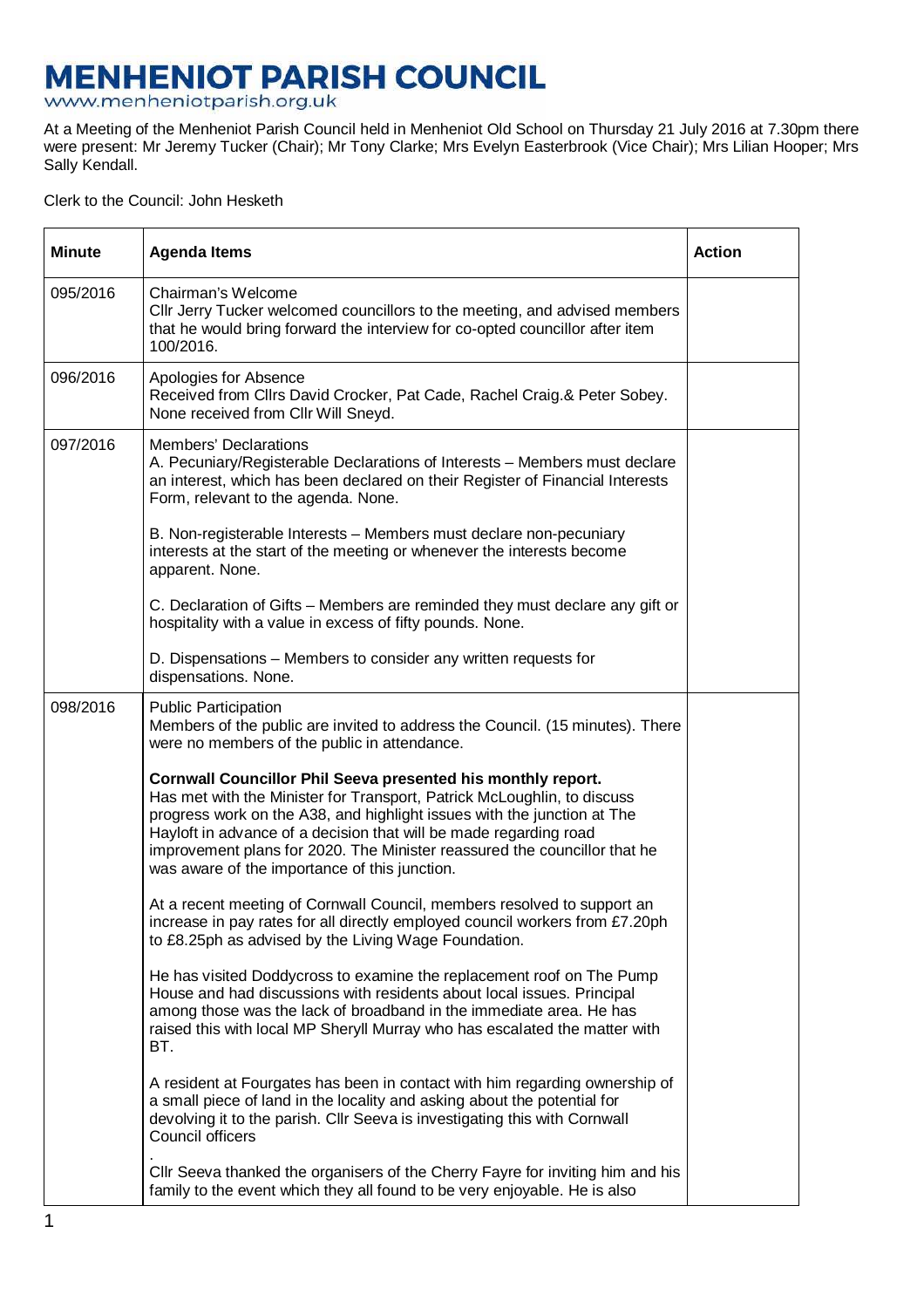## **MENHENIOT PARISH COUNCIL**<br>www.menheniotparish.org.uk

At a Meeting of the Menheniot Parish Council held in Menheniot Old School on Thursday 21 July 2016 at 7.30pm there were present: Mr Jeremy Tucker (Chair); Mr Tony Clarke; Mrs Evelyn Easterbrook (Vice Chair); Mrs Lilian Hooper; Mrs Sally Kendall.

## Clerk to the Council: John Hesketh

| <b>Minute</b> | <b>Agenda Items</b>                                                                                                                                                                                                                                                                                                                                                                                                   | <b>Action</b> |  |  |
|---------------|-----------------------------------------------------------------------------------------------------------------------------------------------------------------------------------------------------------------------------------------------------------------------------------------------------------------------------------------------------------------------------------------------------------------------|---------------|--|--|
| 095/2016      | Chairman's Welcome<br>CIIr Jerry Tucker welcomed councillors to the meeting, and advised members<br>that he would bring forward the interview for co-opted councillor after item<br>100/2016.                                                                                                                                                                                                                         |               |  |  |
| 096/2016      | Apologies for Absence<br>Received from Cllrs David Crocker, Pat Cade, Rachel Craig.& Peter Sobey.<br>None received from CIIr Will Sneyd.                                                                                                                                                                                                                                                                              |               |  |  |
| 097/2016      | <b>Members' Declarations</b><br>A. Pecuniary/Registerable Declarations of Interests - Members must declare<br>an interest, which has been declared on their Register of Financial Interests<br>Form, relevant to the agenda. None.                                                                                                                                                                                    |               |  |  |
|               | B. Non-registerable Interests - Members must declare non-pecuniary<br>interests at the start of the meeting or whenever the interests become<br>apparent. None.                                                                                                                                                                                                                                                       |               |  |  |
|               | C. Declaration of Gifts - Members are reminded they must declare any gift or<br>hospitality with a value in excess of fifty pounds. None.                                                                                                                                                                                                                                                                             |               |  |  |
|               | D. Dispensations - Members to consider any written requests for<br>dispensations. None.                                                                                                                                                                                                                                                                                                                               |               |  |  |
| 098/2016      | <b>Public Participation</b><br>Members of the public are invited to address the Council. (15 minutes). There<br>were no members of the public in attendance.                                                                                                                                                                                                                                                          |               |  |  |
|               | Cornwall Councillor Phil Seeva presented his monthly report.<br>Has met with the Minister for Transport, Patrick McLoughlin, to discuss<br>progress work on the A38, and highlight issues with the junction at The<br>Hayloft in advance of a decision that will be made regarding road<br>improvement plans for 2020. The Minister reassured the councillor that he<br>was aware of the importance of this junction. |               |  |  |
|               | At a recent meeting of Cornwall Council, members resolved to support an<br>increase in pay rates for all directly employed council workers from £7.20ph<br>to £8.25ph as advised by the Living Wage Foundation.                                                                                                                                                                                                       |               |  |  |
|               | He has visited Doddycross to examine the replacement roof on The Pump<br>House and had discussions with residents about local issues. Principal<br>among those was the lack of broadband in the immediate area. He has<br>raised this with local MP Sheryll Murray who has escalated the matter with<br>BT.                                                                                                           |               |  |  |
|               | A resident at Fourgates has been in contact with him regarding ownership of<br>a small piece of land in the locality and asking about the potential for<br>devolving it to the parish. Cllr Seeva is investigating this with Cornwall<br>Council officers                                                                                                                                                             |               |  |  |
|               | CIIr Seeva thanked the organisers of the Cherry Fayre for inviting him and his<br>family to the event which they all found to be very enjoyable. He is also                                                                                                                                                                                                                                                           |               |  |  |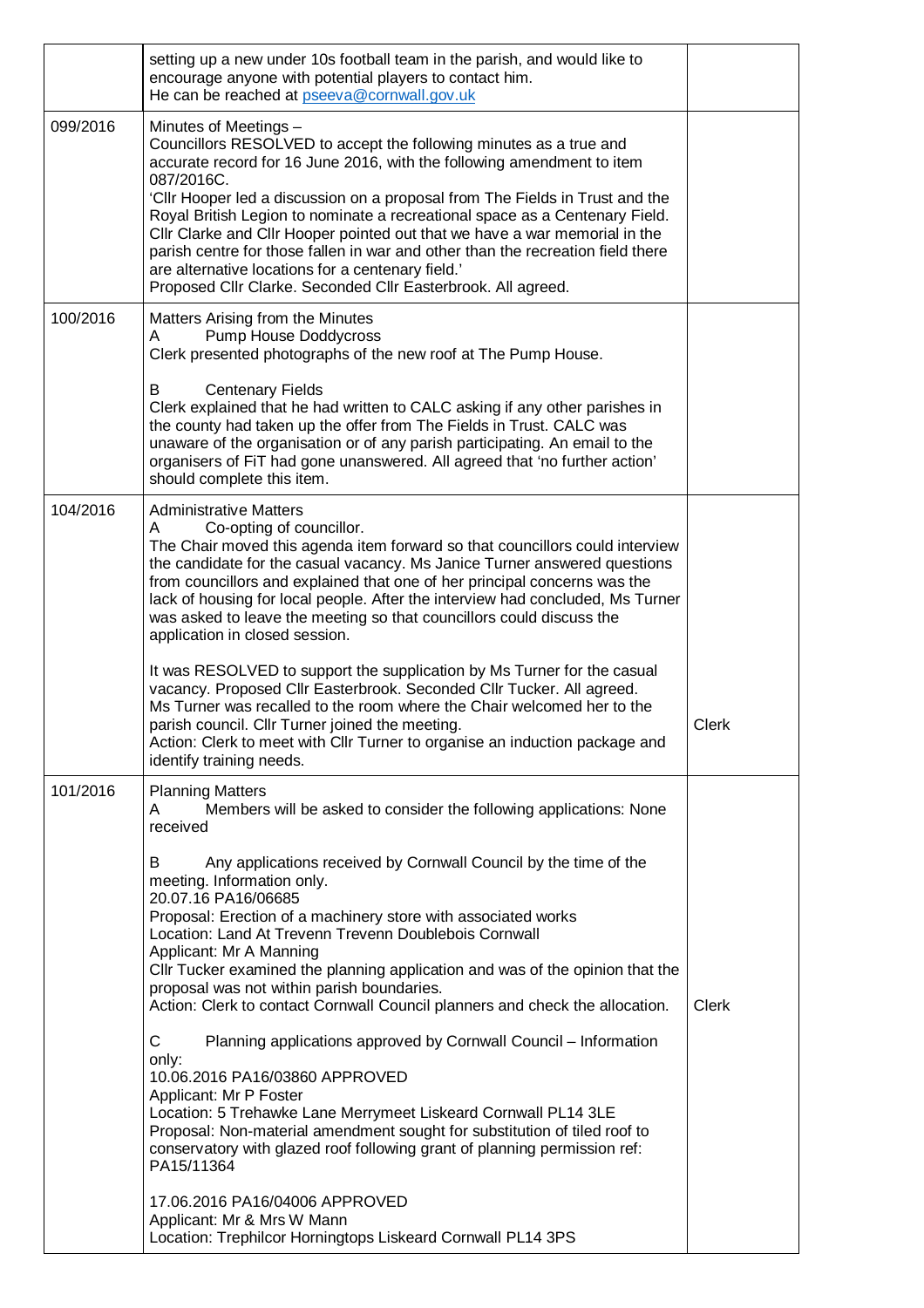|          | setting up a new under 10s football team in the parish, and would like to<br>encourage anyone with potential players to contact him.<br>He can be reached at pseeva@cornwall.gov.uk                                                                                                                                                                                                                                                                                                                                                                                                                                                      |              |
|----------|------------------------------------------------------------------------------------------------------------------------------------------------------------------------------------------------------------------------------------------------------------------------------------------------------------------------------------------------------------------------------------------------------------------------------------------------------------------------------------------------------------------------------------------------------------------------------------------------------------------------------------------|--------------|
| 099/2016 | Minutes of Meetings -<br>Councillors RESOLVED to accept the following minutes as a true and<br>accurate record for 16 June 2016, with the following amendment to item<br>087/2016C.<br>'Cllr Hooper led a discussion on a proposal from The Fields in Trust and the<br>Royal British Legion to nominate a recreational space as a Centenary Field.<br>Cllr Clarke and Cllr Hooper pointed out that we have a war memorial in the<br>parish centre for those fallen in war and other than the recreation field there<br>are alternative locations for a centenary field.'<br>Proposed Cllr Clarke. Seconded Cllr Easterbrook. All agreed. |              |
| 100/2016 | Matters Arising from the Minutes<br>Pump House Doddycross<br>A<br>Clerk presented photographs of the new roof at The Pump House.<br><b>Centenary Fields</b><br>в<br>Clerk explained that he had written to CALC asking if any other parishes in<br>the county had taken up the offer from The Fields in Trust. CALC was                                                                                                                                                                                                                                                                                                                  |              |
|          | unaware of the organisation or of any parish participating. An email to the<br>organisers of FiT had gone unanswered. All agreed that 'no further action'<br>should complete this item.                                                                                                                                                                                                                                                                                                                                                                                                                                                  |              |
| 104/2016 | <b>Administrative Matters</b><br>Co-opting of councillor.<br>Α<br>The Chair moved this agenda item forward so that councillors could interview<br>the candidate for the casual vacancy. Ms Janice Turner answered questions<br>from councillors and explained that one of her principal concerns was the<br>lack of housing for local people. After the interview had concluded, Ms Turner<br>was asked to leave the meeting so that councillors could discuss the<br>application in closed session.                                                                                                                                     |              |
|          | It was RESOLVED to support the supplication by Ms Turner for the casual<br>vacancy. Proposed Cllr Easterbrook. Seconded Cllr Tucker. All agreed.<br>Ms Turner was recalled to the room where the Chair welcomed her to the<br>parish council. Cllr Turner joined the meeting.<br>Action: Clerk to meet with Cllr Turner to organise an induction package and<br>identify training needs.                                                                                                                                                                                                                                                 | Clerk        |
| 101/2016 | <b>Planning Matters</b><br>Members will be asked to consider the following applications: None<br>A<br>received                                                                                                                                                                                                                                                                                                                                                                                                                                                                                                                           |              |
|          | Any applications received by Cornwall Council by the time of the<br>В<br>meeting. Information only.<br>20.07.16 PA16/06685<br>Proposal: Erection of a machinery store with associated works<br>Location: Land At Trevenn Trevenn Doublebois Cornwall<br>Applicant: Mr A Manning<br>Cllr Tucker examined the planning application and was of the opinion that the<br>proposal was not within parish boundaries.<br>Action: Clerk to contact Cornwall Council planners and check the allocation.                                                                                                                                           | <b>Clerk</b> |
|          | С<br>Planning applications approved by Cornwall Council - Information<br>only:<br>10.06.2016 PA16/03860 APPROVED<br>Applicant: Mr P Foster<br>Location: 5 Trehawke Lane Merrymeet Liskeard Cornwall PL14 3LE<br>Proposal: Non-material amendment sought for substitution of tiled roof to<br>conservatory with glazed roof following grant of planning permission ref:<br>PA15/11364                                                                                                                                                                                                                                                     |              |
|          | 17.06.2016 PA16/04006 APPROVED<br>Applicant: Mr & Mrs W Mann<br>Location: Trephilcor Horningtops Liskeard Cornwall PL14 3PS                                                                                                                                                                                                                                                                                                                                                                                                                                                                                                              |              |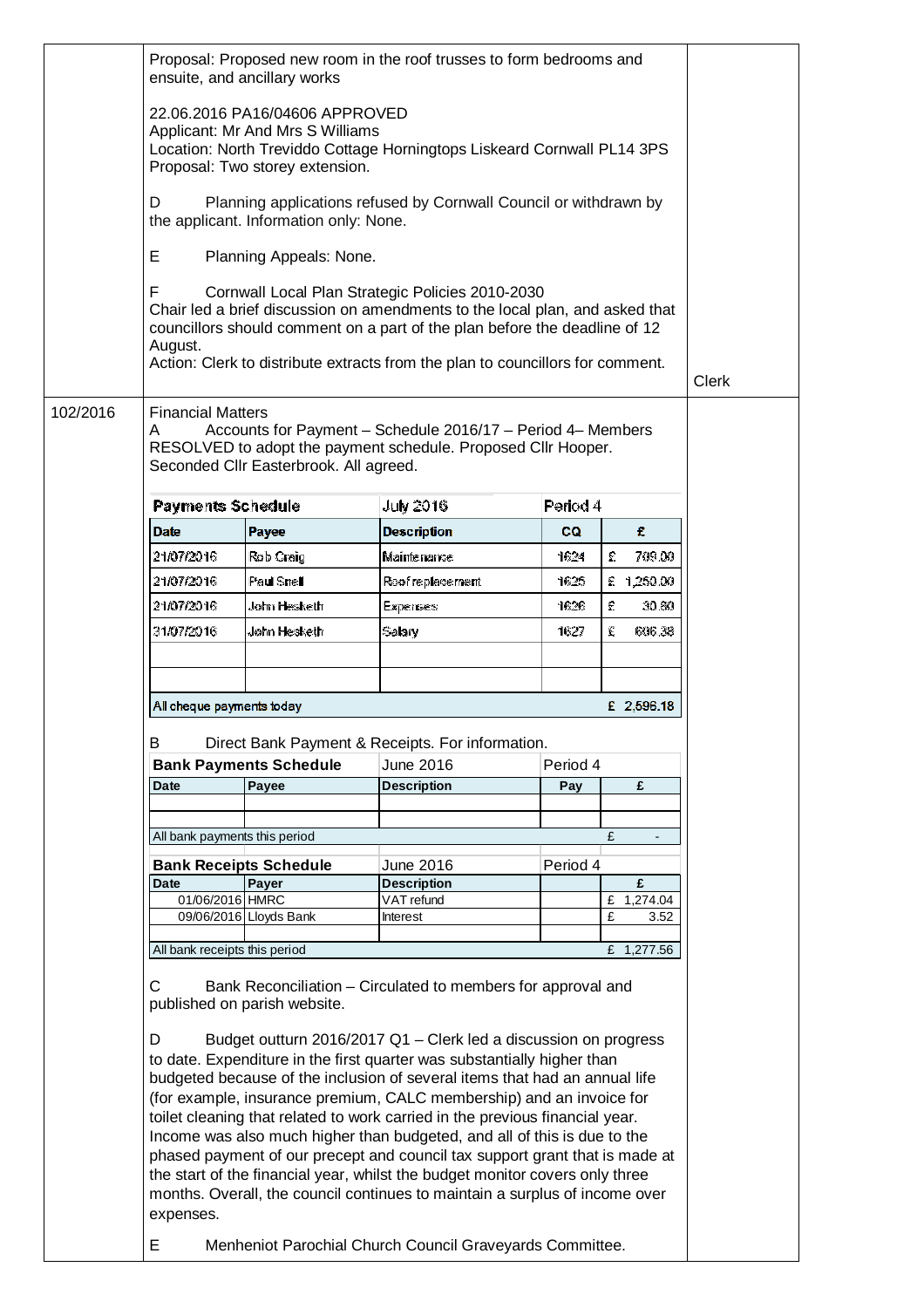|                               | Proposal: Proposed new room in the roof trusses to form bedrooms and<br>ensuite, and ancillary works                                                                                                                                                                                                                                                                                                                                                                                                                                                                                                                                                                                                                                                                                                                     |                                                                                                                                                                                                                                                                                                  |           |                         |  |  |  |  |  |
|-------------------------------|--------------------------------------------------------------------------------------------------------------------------------------------------------------------------------------------------------------------------------------------------------------------------------------------------------------------------------------------------------------------------------------------------------------------------------------------------------------------------------------------------------------------------------------------------------------------------------------------------------------------------------------------------------------------------------------------------------------------------------------------------------------------------------------------------------------------------|--------------------------------------------------------------------------------------------------------------------------------------------------------------------------------------------------------------------------------------------------------------------------------------------------|-----------|-------------------------|--|--|--|--|--|
|                               | 22.06.2016 PA16/04606 APPROVED<br>Applicant: Mr And Mrs S Williams<br>Location: North Treviddo Cottage Horningtops Liskeard Cornwall PL14 3PS<br>Proposal: Two storey extension.                                                                                                                                                                                                                                                                                                                                                                                                                                                                                                                                                                                                                                         |                                                                                                                                                                                                                                                                                                  |           |                         |  |  |  |  |  |
| D                             | Planning applications refused by Cornwall Council or withdrawn by<br>the applicant. Information only: None.                                                                                                                                                                                                                                                                                                                                                                                                                                                                                                                                                                                                                                                                                                              |                                                                                                                                                                                                                                                                                                  |           |                         |  |  |  |  |  |
| Е                             | Planning Appeals: None.                                                                                                                                                                                                                                                                                                                                                                                                                                                                                                                                                                                                                                                                                                                                                                                                  |                                                                                                                                                                                                                                                                                                  |           |                         |  |  |  |  |  |
| F.<br>August.                 |                                                                                                                                                                                                                                                                                                                                                                                                                                                                                                                                                                                                                                                                                                                                                                                                                          | Cornwall Local Plan Strategic Policies 2010-2030<br>Chair led a brief discussion on amendments to the local plan, and asked that<br>councillors should comment on a part of the plan before the deadline of 12<br>Action: Clerk to distribute extracts from the plan to councillors for comment. |           |                         |  |  |  |  |  |
| 102/2016<br>A                 | <b>Financial Matters</b><br>Accounts for Payment - Schedule 2016/17 - Period 4- Members<br>RESOLVED to adopt the payment schedule. Proposed Cllr Hooper.<br>Seconded CIIr Easterbrook. All agreed.                                                                                                                                                                                                                                                                                                                                                                                                                                                                                                                                                                                                                       |                                                                                                                                                                                                                                                                                                  |           |                         |  |  |  |  |  |
| <b>Payments Schedule</b>      |                                                                                                                                                                                                                                                                                                                                                                                                                                                                                                                                                                                                                                                                                                                                                                                                                          | <b>July 2016</b>                                                                                                                                                                                                                                                                                 | Period 4  |                         |  |  |  |  |  |
| <b>Date</b>                   | Payee                                                                                                                                                                                                                                                                                                                                                                                                                                                                                                                                                                                                                                                                                                                                                                                                                    | <b>Description</b>                                                                                                                                                                                                                                                                               | <b>CQ</b> | £.                      |  |  |  |  |  |
| 21/07/2016                    | Rob Craig                                                                                                                                                                                                                                                                                                                                                                                                                                                                                                                                                                                                                                                                                                                                                                                                                | Maintenance                                                                                                                                                                                                                                                                                      | 1624      | £<br>709.00             |  |  |  |  |  |
| 21/07/2016                    | Paul Snell                                                                                                                                                                                                                                                                                                                                                                                                                                                                                                                                                                                                                                                                                                                                                                                                               | Roof replace ment                                                                                                                                                                                                                                                                                | 1625      | £ 1,250.00              |  |  |  |  |  |
| 21/07/2016                    | John Hesketh                                                                                                                                                                                                                                                                                                                                                                                                                                                                                                                                                                                                                                                                                                                                                                                                             | Experises:                                                                                                                                                                                                                                                                                       | 1626      | £<br>30.80              |  |  |  |  |  |
| 31/07/2016                    | John Hesketh                                                                                                                                                                                                                                                                                                                                                                                                                                                                                                                                                                                                                                                                                                                                                                                                             | Salary                                                                                                                                                                                                                                                                                           | 1627      | £<br>606.38             |  |  |  |  |  |
|                               | All cheque payments today<br>£ 2,596.18                                                                                                                                                                                                                                                                                                                                                                                                                                                                                                                                                                                                                                                                                                                                                                                  |                                                                                                                                                                                                                                                                                                  |           |                         |  |  |  |  |  |
| В                             |                                                                                                                                                                                                                                                                                                                                                                                                                                                                                                                                                                                                                                                                                                                                                                                                                          | Direct Bank Payment & Receipts. For information.                                                                                                                                                                                                                                                 |           |                         |  |  |  |  |  |
|                               | <b>Bank Payments Schedule</b>                                                                                                                                                                                                                                                                                                                                                                                                                                                                                                                                                                                                                                                                                                                                                                                            | June 2016                                                                                                                                                                                                                                                                                        | Period 4  |                         |  |  |  |  |  |
| <b>Date</b>                   | Payee                                                                                                                                                                                                                                                                                                                                                                                                                                                                                                                                                                                                                                                                                                                                                                                                                    | <b>Description</b>                                                                                                                                                                                                                                                                               | Pay       | £                       |  |  |  |  |  |
|                               |                                                                                                                                                                                                                                                                                                                                                                                                                                                                                                                                                                                                                                                                                                                                                                                                                          |                                                                                                                                                                                                                                                                                                  |           |                         |  |  |  |  |  |
| All bank payments this period |                                                                                                                                                                                                                                                                                                                                                                                                                                                                                                                                                                                                                                                                                                                                                                                                                          |                                                                                                                                                                                                                                                                                                  |           | £                       |  |  |  |  |  |
|                               | <b>Bank Receipts Schedule</b>                                                                                                                                                                                                                                                                                                                                                                                                                                                                                                                                                                                                                                                                                                                                                                                            | June 2016                                                                                                                                                                                                                                                                                        | Period 4  |                         |  |  |  |  |  |
| Date                          | Payer                                                                                                                                                                                                                                                                                                                                                                                                                                                                                                                                                                                                                                                                                                                                                                                                                    | <b>Description</b>                                                                                                                                                                                                                                                                               |           | £                       |  |  |  |  |  |
| 01/06/2016 HMRC               | 09/06/2016 Lloyds Bank                                                                                                                                                                                                                                                                                                                                                                                                                                                                                                                                                                                                                                                                                                                                                                                                   | VAT refund<br><b>Interest</b>                                                                                                                                                                                                                                                                    |           | £ 1,274.04<br>£<br>3.52 |  |  |  |  |  |
|                               |                                                                                                                                                                                                                                                                                                                                                                                                                                                                                                                                                                                                                                                                                                                                                                                                                          |                                                                                                                                                                                                                                                                                                  |           |                         |  |  |  |  |  |
| All bank receipts this period |                                                                                                                                                                                                                                                                                                                                                                                                                                                                                                                                                                                                                                                                                                                                                                                                                          |                                                                                                                                                                                                                                                                                                  |           | £ 1,277.56              |  |  |  |  |  |
| $\mathsf{C}$<br>D             | Bank Reconciliation – Circulated to members for approval and<br>published on parish website.<br>Budget outturn 2016/2017 Q1 - Clerk led a discussion on progress<br>to date. Expenditure in the first quarter was substantially higher than<br>budgeted because of the inclusion of several items that had an annual life<br>(for example, insurance premium, CALC membership) and an invoice for<br>toilet cleaning that related to work carried in the previous financial year.<br>Income was also much higher than budgeted, and all of this is due to the<br>phased payment of our precept and council tax support grant that is made at<br>the start of the financial year, whilst the budget monitor covers only three<br>months. Overall, the council continues to maintain a surplus of income over<br>expenses. |                                                                                                                                                                                                                                                                                                  |           |                         |  |  |  |  |  |
|                               |                                                                                                                                                                                                                                                                                                                                                                                                                                                                                                                                                                                                                                                                                                                                                                                                                          |                                                                                                                                                                                                                                                                                                  |           |                         |  |  |  |  |  |